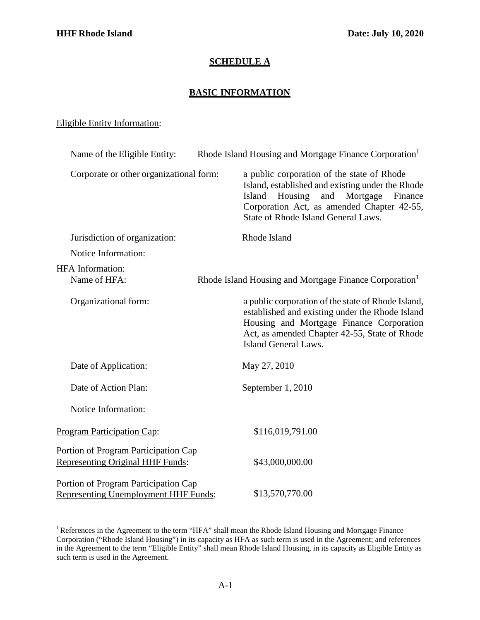## **SCHEDULE A**

## **BASIC INFORMATION**

## Eligible Entity Information:

| Name of the Eligible Entity:                                                        | Rhode Island Housing and Mortgage Finance Corporation <sup>1</sup> |                                                                                                                                                                                                                                        |
|-------------------------------------------------------------------------------------|--------------------------------------------------------------------|----------------------------------------------------------------------------------------------------------------------------------------------------------------------------------------------------------------------------------------|
| Corporate or other organizational form:                                             |                                                                    | a public corporation of the state of Rhode<br>Island, established and existing under the Rhode<br>Housing<br>Island<br>and<br>Mortgage<br>Finance<br>Corporation Act, as amended Chapter 42-55,<br>State of Rhode Island General Laws. |
| Jurisdiction of organization:                                                       |                                                                    | Rhode Island                                                                                                                                                                                                                           |
| Notice Information:                                                                 |                                                                    |                                                                                                                                                                                                                                        |
| <b>HFA</b> Information:<br>Name of HFA:                                             |                                                                    | Rhode Island Housing and Mortgage Finance Corporation <sup>1</sup>                                                                                                                                                                     |
| Organizational form:                                                                |                                                                    | a public corporation of the state of Rhode Island,<br>established and existing under the Rhode Island<br>Housing and Mortgage Finance Corporation<br>Act, as amended Chapter 42-55, State of Rhode<br>Island General Laws.             |
| Date of Application:                                                                |                                                                    | May 27, 2010                                                                                                                                                                                                                           |
| Date of Action Plan:                                                                |                                                                    | September 1, 2010                                                                                                                                                                                                                      |
| Notice Information:                                                                 |                                                                    |                                                                                                                                                                                                                                        |
| <b>Program Participation Cap:</b>                                                   |                                                                    | \$116,019,791.00                                                                                                                                                                                                                       |
| Portion of Program Participation Cap<br><b>Representing Original HHF Funds:</b>     |                                                                    | \$43,000,000.00                                                                                                                                                                                                                        |
| Portion of Program Participation Cap<br><b>Representing Unemployment HHF Funds:</b> |                                                                    | \$13,570,770.00                                                                                                                                                                                                                        |

<span id="page-0-0"></span><sup>&</sup>lt;sup>1</sup> References in the Agreement to the term "HFA" shall mean the Rhode Island Housing and Mortgage Finance Corporation ("Rhode Island Housing") in its capacity as HFA as such term is used in the Agreement; and references in the Agreement to the term "Eligible Entity" shall mean Rhode Island Housing, in its capacity as Eligible Entity as such term is used in the Agreement.